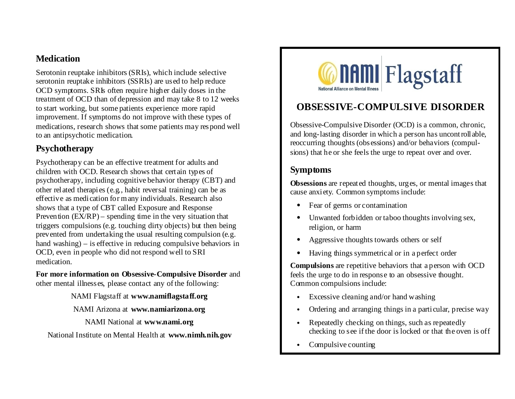### **Medication**

Serotonin reuptake inhibitors (SRIs), which include selective serotonin reuptake inhibitors (SSRIs) are used to help reduce OCD symptoms. SRIs often require higher daily doses in the treatment of OCD than of depression and may take 8 to 12 weeks to start working, but some patients experience more rapid improvement. If symptoms do not improve with these types of medications, research shows that some patients may respond well to an antipsychotic medication.

## **Psychotherapy**

Psychotherapy can be an effective treatment for adults and children with OCD. Research shows that certain types of psychotherapy, including cognitive behavior therapy (CBT) and other related therapies (e.g., habit reversal training) can be as effective as medication for many individuals. Research also shows that a type of CBT called Exposure and Response Prevention  $(EX/RP)$  – spending time in the very situation that triggers compulsions (e.g. touching dirty objects) but then being prevented from undertaking the usual resulting compulsion (e.g. hand washing) – is effective in reducing compulsive behaviors in OCD, even in people who did not respond well to SRI medication.

**For more information on Obsessive-Compulsive Disorder** and other mental illnesses, please contact any of the following:

NAMI Flagstaff at **www.namiflagstaff.org**

NAMI Arizona at **www.namiarizona.org**

NAMI National at **www.nami.org**

National Institute on Mental Health at **www.nimh.nih.gov**



# **OBSESSIVE-COMPULSIVE DISORDER**

Obsessive-Compulsive Disorder (OCD) is a common, chronic, and long-lasting disorder in which a person has uncontrollable, reoccurring thoughts (obsessions) and/or behaviors (compulsions) that he or she feels the urge to repeat over and over.

## **Symptoms**

**Obsessions** are repeated thoughts, urges, or mental images that cause anxiety. Common symptoms include:

- Fear of germs or contamination
- Unwanted forbidden or taboo thoughts involving sex, religion, or harm
- Aggressive thoughts towards others or self
- Having things symmetrical or in a perfect order

**Compulsions** are repetitive behaviors that a person with OCD feels the urge to do in response to an obsessive thought. Common compulsions include:

- Excessive cleaning and/or hand washing
- Ordering and arranging things in a particular, precise way
- Repeatedly checking on things, such as repeatedly checking to see if the door is locked or that the oven is off
- Compulsive counting